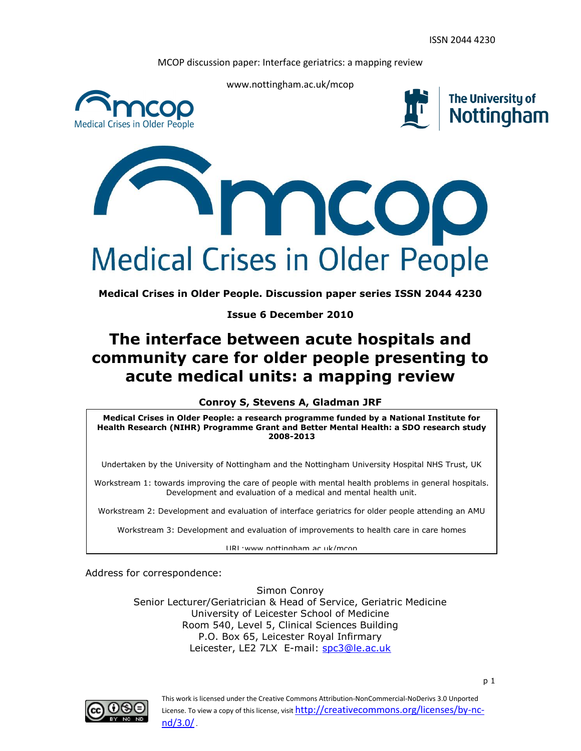

www.nottingham.ac.uk/mcop



**The University of** Nottingham



**Medical Crises in Older People. Discussion paper series ISSN 2044 4230**

**Issue 6 December 2010**

# **The interface between acute hospitals and community care for older people presenting to acute medical units: a mapping review**

**Conroy S, Stevens A, Gladman JRF**

**Medical Crises in Older People: a research programme funded by a National Institute for Health Research (NIHR) Programme Grant and Better Mental Health: a SDO research study 2008-2013**

Undertaken by the University of Nottingham and the Nottingham University Hospital NHS Trust, UK

Workstream 1: towards improving the care of people with mental health problems in general hospitals. Development and evaluation of a medical and mental health unit.

Workstream 2: Development and evaluation of interface geriatrics for older people attending an AMU

Workstream 3: Development and evaluation of improvements to health care in care homes

URL:www.nottingham.ac.uk/mcop

Address for correspondence:

Simon Conroy Senior Lecturer/Geriatrician & Head of Service, Geriatric Medicine University of Leicester School of Medicine Room 540, Level 5, Clinical Sciences Building P.O. Box 65, Leicester Royal Infirmary Leicester, LE2 7LX E-mail: [spc3@le.ac.uk](mailto:spc3@le.ac.uk)

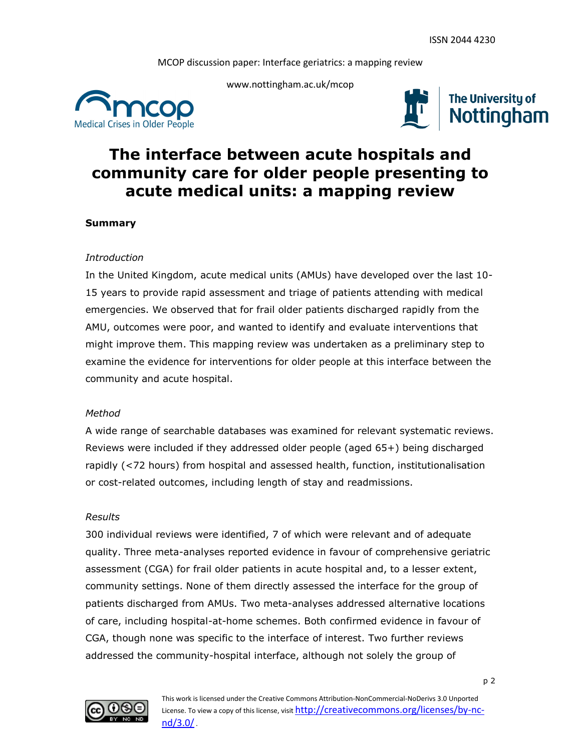

www.nottingham.ac.uk/mcop





# **The interface between acute hospitals and community care for older people presenting to acute medical units: a mapping review**

# **Summary**

## *Introduction*

In the United Kingdom, acute medical units (AMUs) have developed over the last 10- 15 years to provide rapid assessment and triage of patients attending with medical emergencies. We observed that for frail older patients discharged rapidly from the AMU, outcomes were poor, and wanted to identify and evaluate interventions that might improve them. This mapping review was undertaken as a preliminary step to examine the evidence for interventions for older people at this interface between the community and acute hospital.

## *Method*

A wide range of searchable databases was examined for relevant systematic reviews. Reviews were included if they addressed older people (aged 65+) being discharged rapidly (<72 hours) from hospital and assessed health, function, institutionalisation or cost-related outcomes, including length of stay and readmissions.

## *Results*

300 individual reviews were identified, 7 of which were relevant and of adequate quality. Three meta-analyses reported evidence in favour of comprehensive geriatric assessment (CGA) for frail older patients in acute hospital and, to a lesser extent, community settings. None of them directly assessed the interface for the group of patients discharged from AMUs. Two meta-analyses addressed alternative locations of care, including hospital-at-home schemes. Both confirmed evidence in favour of CGA, though none was specific to the interface of interest. Two further reviews addressed the community-hospital interface, although not solely the group of

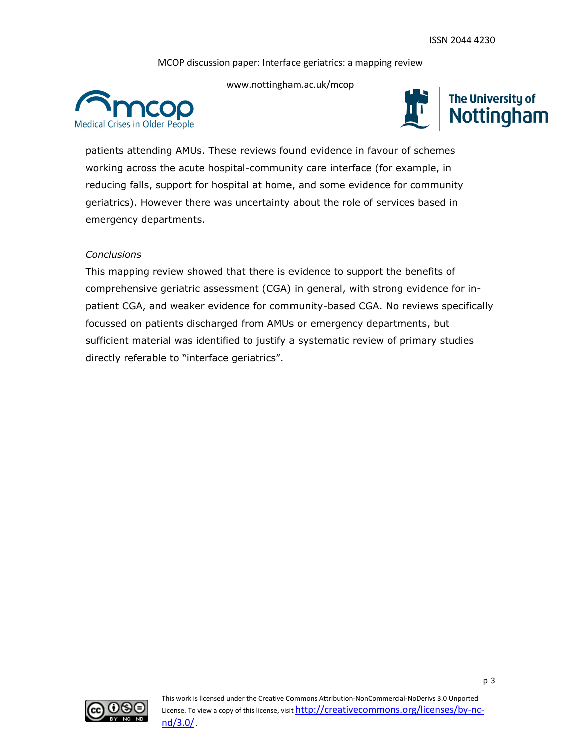

www.nottingham.ac.uk/mcop



patients attending AMUs. These reviews found evidence in favour of schemes working across the acute hospital-community care interface (for example, in reducing falls, support for hospital at home, and some evidence for community geriatrics). However there was uncertainty about the role of services based in emergency departments.

## *Conclusions*

This mapping review showed that there is evidence to support the benefits of comprehensive geriatric assessment (CGA) in general, with strong evidence for inpatient CGA, and weaker evidence for community-based CGA. No reviews specifically focussed on patients discharged from AMUs or emergency departments, but sufficient material was identified to justify a systematic review of primary studies directly referable to "interface geriatrics".

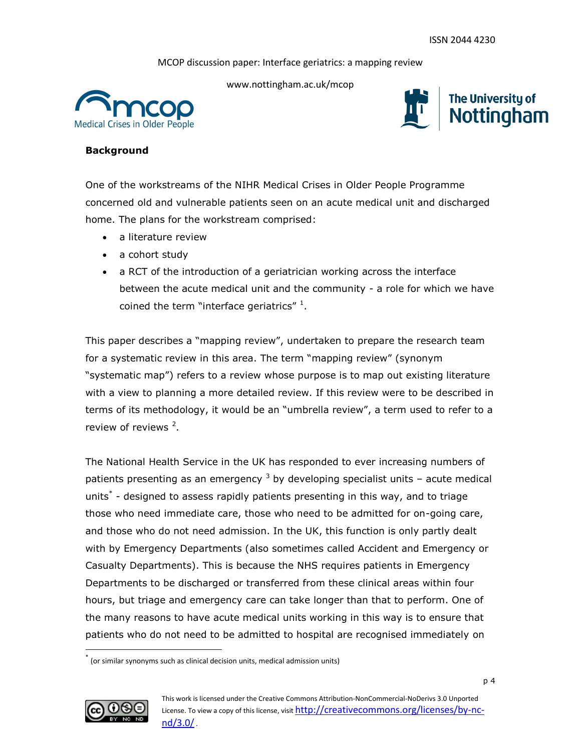

www.nottingham.ac.uk/mcop



## **Background**

One of the workstreams of the NIHR Medical Crises in Older People Programme concerned old and vulnerable patients seen on an acute medical unit and discharged home. The plans for the workstream comprised:

- a literature review
- a cohort study
- a RCT of the introduction of a geriatrician working across the interface between the acute medical unit and the community - a role for which we have coined the term "interface geriatrics"  $^1$ .

This paper describes a "mapping review", undertaken to prepare the research team for a systematic review in this area. The term "mapping review" (synonym "systematic map") refers to a review whose purpose is to map out existing literature with a view to planning a more detailed review. If this review were to be described in terms of its methodology, it would be an "umbrella review", a term used to refer to a review of reviews<sup>2</sup>.

The National Health Service in the UK has responded to ever increasing numbers of patients presenting as an emergency  $3$  by developing specialist units – acute medical units<sup>\*</sup> - designed to assess rapidly patients presenting in this way, and to triage those who need immediate care, those who need to be admitted for on-going care, and those who do not need admission. In the UK, this function is only partly dealt with by Emergency Departments (also sometimes called Accident and Emergency or Casualty Departments). This is because the NHS requires patients in Emergency Departments to be discharged or transferred from these clinical areas within four hours, but triage and emergency care can take longer than that to perform. One of the many reasons to have acute medical units working in this way is to ensure that patients who do not need to be admitted to hospital are recognised immediately on

<sup>\*</sup> (or similar synonyms such as clinical decision units, medical admission units)



l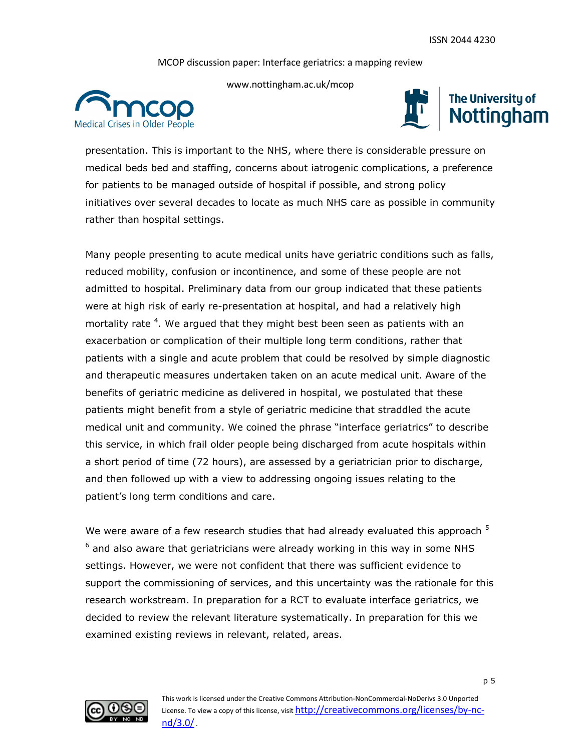

www.nottingham.ac.uk/mcop





presentation. This is important to the NHS, where there is considerable pressure on medical beds bed and staffing, concerns about iatrogenic complications, a preference for patients to be managed outside of hospital if possible, and strong policy initiatives over several decades to locate as much NHS care as possible in community rather than hospital settings.

Many people presenting to acute medical units have geriatric conditions such as falls, reduced mobility, confusion or incontinence, and some of these people are not admitted to hospital. Preliminary data from our group indicated that these patients were at high risk of early re-presentation at hospital, and had a relatively high mortality rate <sup>4</sup>. We argued that they might best been seen as patients with an exacerbation or complication of their multiple long term conditions, rather that patients with a single and acute problem that could be resolved by simple diagnostic and therapeutic measures undertaken taken on an acute medical unit. Aware of the benefits of geriatric medicine as delivered in hospital, we postulated that these patients might benefit from a style of geriatric medicine that straddled the acute medical unit and community. We coined the phrase "interface geriatrics" to describe this service, in which frail older people being discharged from acute hospitals within a short period of time (72 hours), are assessed by a geriatrician prior to discharge, and then followed up with a view to addressing ongoing issues relating to the patient's long term conditions and care.

We were aware of a few research studies that had already evaluated this approach  $^5$  $^6$  and also aware that geriatricians were already working in this way in some NHS settings. However, we were not confident that there was sufficient evidence to support the commissioning of services, and this uncertainty was the rationale for this research workstream. In preparation for a RCT to evaluate interface geriatrics, we decided to review the relevant literature systematically. In preparation for this we examined existing reviews in relevant, related, areas.

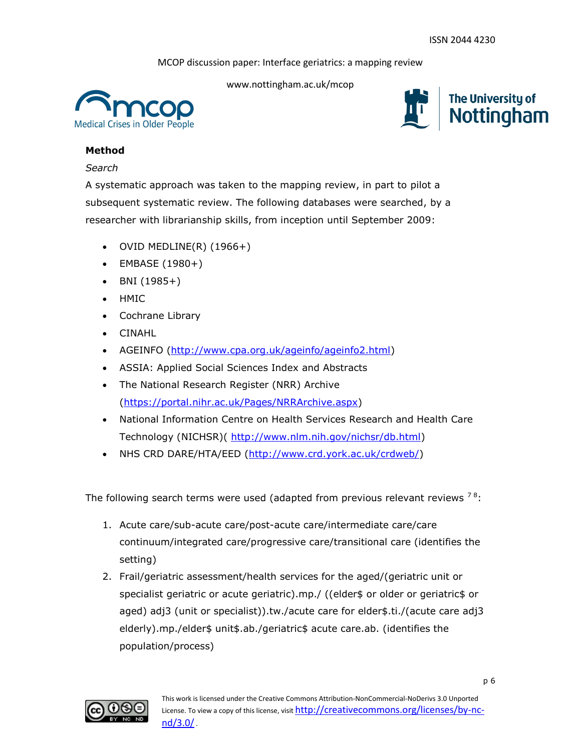

www.nottingham.ac.uk/mcop



# **Method**

## *Search*

A systematic approach was taken to the mapping review, in part to pilot a subsequent systematic review. The following databases were searched, by a researcher with librarianship skills, from inception until September 2009:

- $\bullet$  OVID MEDLINE(R) (1966+)
- EMBASE (1980+)
- $-BNI (1985+)$
- HMIC
- Cochrane Library
- CINAHL
- AGEINFO [\(http://www.cpa.org.uk/ageinfo/ageinfo2.html\)](http://www.cpa.org.uk/ageinfo/ageinfo2.html)
- ASSIA: Applied Social Sciences Index and Abstracts
- The National Research Register (NRR) Archive [\(https://portal.nihr.ac.uk/Pages/NRRArchive.aspx\)](https://portal.nihr.ac.uk/Pages/NRRArchive.aspx)
- National Information Centre on Health Services Research and Health Care Technology (NICHSR)( [http://www.nlm.nih.gov/nichsr/db.html\)](http://www.nlm.nih.gov/nichsr/db.html)
- NHS CRD DARE/HTA/EED [\(http://www.crd.york.ac.uk/crdweb/\)](http://www.crd.york.ac.uk/crdweb/)

The following search terms were used (adapted from previous relevant reviews  $78$ :

- 1. Acute care/sub-acute care/post-acute care/intermediate care/care continuum/integrated care/progressive care/transitional care (identifies the setting)
- 2. Frail/geriatric assessment/health services for the aged/(geriatric unit or specialist geriatric or acute geriatric).mp./ ((elder\$ or older or geriatric\$ or aged) adj3 (unit or specialist)).tw./acute care for elder\$.ti./(acute care adj3 elderly).mp./elder\$ unit\$.ab./geriatric\$ acute care.ab. (identifies the population/process)

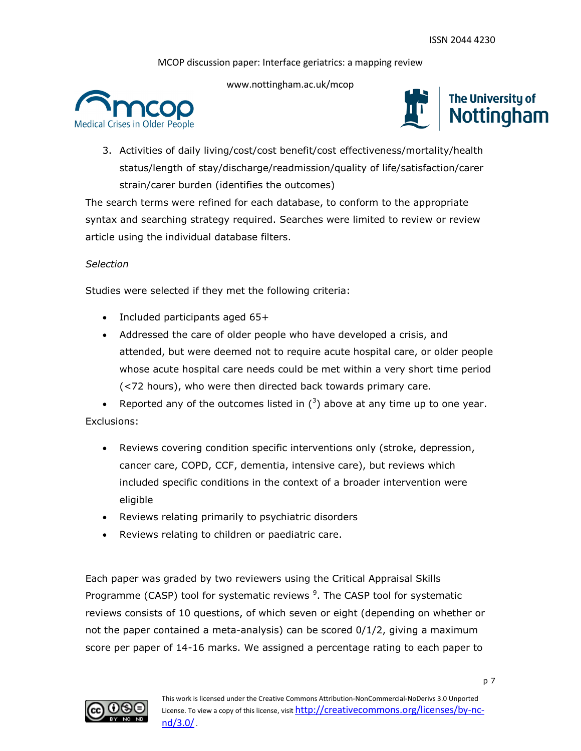www.nottingham.ac.uk/mcop





3. Activities of daily living/cost/cost benefit/cost effectiveness/mortality/health status/length of stay/discharge/readmission/quality of life/satisfaction/carer strain/carer burden (identifies the outcomes)

The search terms were refined for each database, to conform to the appropriate syntax and searching strategy required. Searches were limited to review or review article using the individual database filters.

# *Selection*

Studies were selected if they met the following criteria:

- Included participants aged 65+
- Addressed the care of older people who have developed a crisis, and attended, but were deemed not to require acute hospital care, or older people whose acute hospital care needs could be met within a very short time period (<72 hours), who were then directed back towards primary care.

• Reported any of the outcomes listed in  $(^3)$  above at any time up to one year. Exclusions:

- Reviews covering condition specific interventions only (stroke, depression, cancer care, COPD, CCF, dementia, intensive care), but reviews which included specific conditions in the context of a broader intervention were eligible
- Reviews relating primarily to psychiatric disorders
- Reviews relating to children or paediatric care.

Each paper was graded by two reviewers using the Critical Appraisal Skills Programme (CASP) tool for systematic reviews <sup>9</sup>. The CASP tool for systematic reviews consists of 10 questions, of which seven or eight (depending on whether or not the paper contained a meta-analysis) can be scored 0/1/2, giving a maximum score per paper of 14-16 marks. We assigned a percentage rating to each paper to

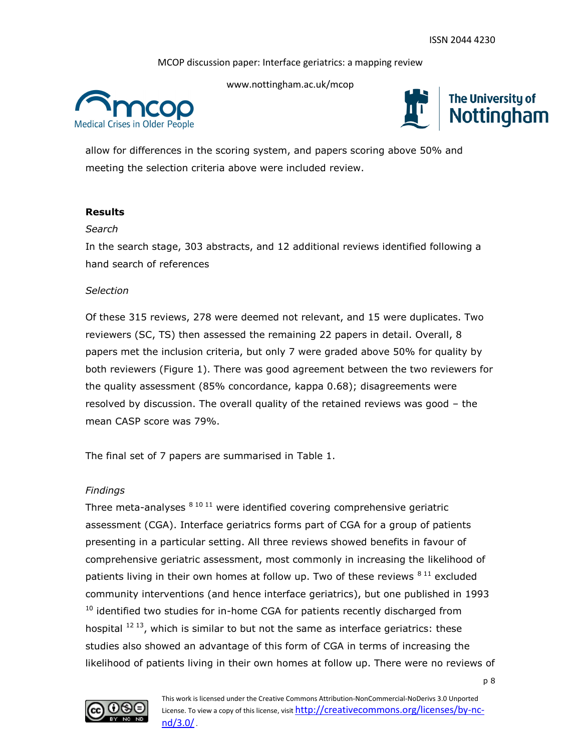www.nottingham.ac.uk/mcop



The University of Nottingham

allow for differences in the scoring system, and papers scoring above 50% and meeting the selection criteria above were included review.

# **Results**

## *Search*

In the search stage, 303 abstracts, and 12 additional reviews identified following a hand search of references

## *Selection*

Of these 315 reviews, 278 were deemed not relevant, and 15 were duplicates. Two reviewers (SC, TS) then assessed the remaining 22 papers in detail. Overall, 8 papers met the inclusion criteria, but only 7 were graded above 50% for quality by both reviewers [\(Figure 1\)](#page-9-0). There was good agreement between the two reviewers for the quality assessment (85% concordance, kappa 0.68); disagreements were resolved by discussion. The overall quality of the retained reviews was good – the mean CASP score was 79%.

The final set of 7 papers are summarised in Table 1.

## *Findings*

Three meta-analyses  $81011$  were identified covering comprehensive geriatric assessment (CGA). Interface geriatrics forms part of CGA for a group of patients presenting in a particular setting. All three reviews showed benefits in favour of comprehensive geriatric assessment, most commonly in increasing the likelihood of patients living in their own homes at follow up. Two of these reviews  $811$  excluded community interventions (and hence interface geriatrics), but one published in 1993  $10$  identified two studies for in-home CGA for patients recently discharged from hospital  $^{12}$  13, which is similar to but not the same as interface geriatrics: these studies also showed an advantage of this form of CGA in terms of increasing the likelihood of patients living in their own homes at follow up. There were no reviews of

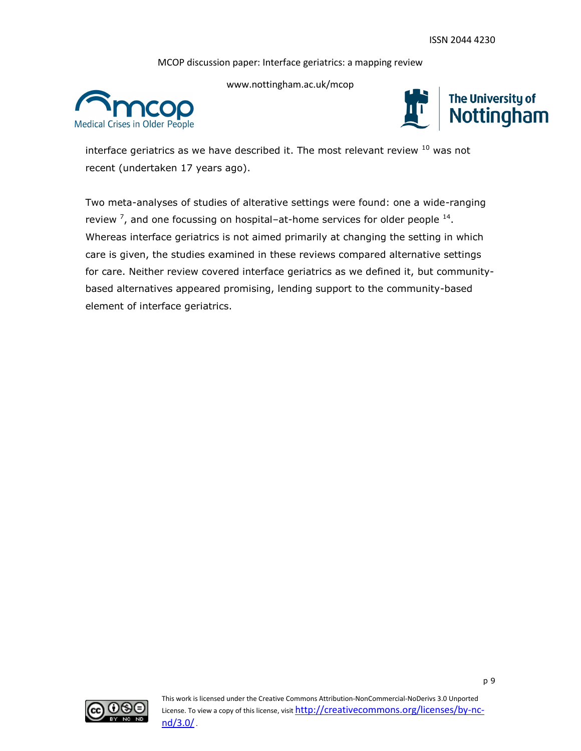

www.nottingham.ac.uk/mcop



interface geriatrics as we have described it. The most relevant review  $10$  was not recent (undertaken 17 years ago).

Two meta-analyses of studies of alterative settings were found: one a wide-ranging review  $\frac{7}{7}$ , and one focussing on hospital-at-home services for older people  $^{14}$ . Whereas interface geriatrics is not aimed primarily at changing the setting in which care is given, the studies examined in these reviews compared alternative settings for care. Neither review covered interface geriatrics as we defined it, but communitybased alternatives appeared promising, lending support to the community-based element of interface geriatrics.

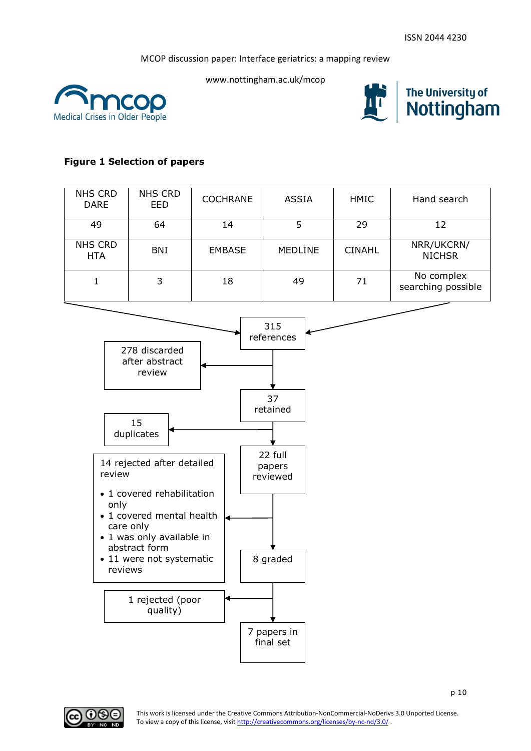<span id="page-9-0"></span>







# **Figure 1 Selection of papers**

| <b>NHS CRD</b><br><b>DARE</b> | <b>NHS CRD</b><br><b>EED</b> | <b>COCHRANE</b> | <b>ASSIA</b>   | <b>HMIC</b>   | Hand search                                                  |
|-------------------------------|------------------------------|-----------------|----------------|---------------|--------------------------------------------------------------|
| 49                            | 64                           | 14              |                | 29            | 12                                                           |
| <b>NHS CRD</b><br><b>HTA</b>  | <b>BNI</b>                   | <b>EMBASE</b>   | <b>MEDLINE</b> | <b>CINAHL</b> | NRR/UKCRN/<br><b>NICHSR</b>                                  |
|                               | 3                            | 18              | 49             | 71            | No complex<br>searching possible<br>$\overline{\phantom{a}}$ |



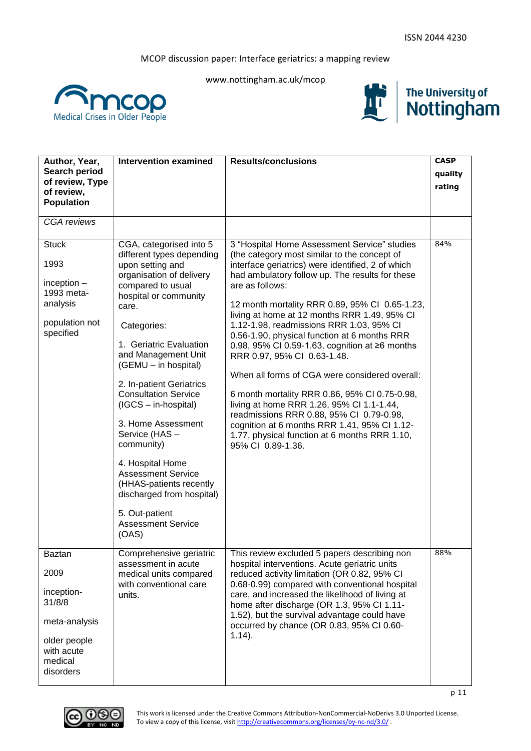







| Author, Year,                   | <b>Intervention examined</b>                         | <b>Results/conclusions</b>                                                                        | <b>CASP</b> |
|---------------------------------|------------------------------------------------------|---------------------------------------------------------------------------------------------------|-------------|
| Search period                   |                                                      |                                                                                                   | quality     |
| of review, Type                 |                                                      |                                                                                                   | rating      |
| of review,<br><b>Population</b> |                                                      |                                                                                                   |             |
|                                 |                                                      |                                                                                                   |             |
| <b>CGA</b> reviews              |                                                      |                                                                                                   |             |
|                                 |                                                      |                                                                                                   |             |
| <b>Stuck</b>                    | CGA, categorised into 5<br>different types depending | 3 "Hospital Home Assessment Service" studies<br>(the category most similar to the concept of      | 84%         |
| 1993                            | upon setting and                                     | interface geriatrics) were identified, 2 of which                                                 |             |
|                                 | organisation of delivery                             | had ambulatory follow up. The results for these                                                   |             |
| inception $-$                   | compared to usual                                    | are as follows:                                                                                   |             |
| 1993 meta-                      | hospital or community                                |                                                                                                   |             |
| analysis                        | care.                                                | 12 month mortality RRR 0.89, 95% CI 0.65-1.23,                                                    |             |
| population not                  | Categories:                                          | living at home at 12 months RRR 1.49, 95% CI<br>1.12-1.98, readmissions RRR 1.03, 95% CI          |             |
| specified                       |                                                      | 0.56-1.90, physical function at 6 months RRR                                                      |             |
|                                 | 1. Geriatric Evaluation                              | 0.98, 95% CI 0.59-1.63, cognition at ≥6 months                                                    |             |
|                                 | and Management Unit                                  | RRR 0.97, 95% CI 0.63-1.48.                                                                       |             |
|                                 | (GEMU - in hospital)                                 |                                                                                                   |             |
|                                 | 2. In-patient Geriatrics                             | When all forms of CGA were considered overall:                                                    |             |
|                                 | <b>Consultation Service</b>                          | 6 month mortality RRR 0.86, 95% CI 0.75-0.98,                                                     |             |
|                                 | (IGCS - in-hospital)                                 | living at home RRR 1.26, 95% Cl 1.1-1.44,                                                         |             |
|                                 | 3. Home Assessment                                   | readmissions RRR 0.88, 95% CI 0.79-0.98,                                                          |             |
|                                 | Service (HAS -                                       | cognition at 6 months RRR 1.41, 95% CI 1.12-<br>1.77, physical function at 6 months RRR 1.10,     |             |
|                                 | community)                                           | 95% CI 0.89-1.36.                                                                                 |             |
|                                 |                                                      |                                                                                                   |             |
|                                 | 4. Hospital Home                                     |                                                                                                   |             |
|                                 | <b>Assessment Service</b><br>(HHAS-patients recently |                                                                                                   |             |
|                                 | discharged from hospital)                            |                                                                                                   |             |
|                                 |                                                      |                                                                                                   |             |
|                                 | 5. Out-patient                                       |                                                                                                   |             |
|                                 | <b>Assessment Service</b>                            |                                                                                                   |             |
|                                 | (OAS)                                                |                                                                                                   |             |
| Baztan                          | Comprehensive geriatric                              | This review excluded 5 papers describing non                                                      | 88%         |
|                                 | assessment in acute                                  | hospital interventions. Acute geriatric units                                                     |             |
| 2009                            | medical units compared                               | reduced activity limitation (OR 0.82, 95% CI                                                      |             |
| inception-                      | with conventional care<br>units.                     | 0.68-0.99) compared with conventional hospital<br>care, and increased the likelihood of living at |             |
| 31/8/8                          |                                                      | home after discharge (OR 1.3, 95% CI 1.11-                                                        |             |
|                                 |                                                      | 1.52), but the survival advantage could have                                                      |             |
| meta-analysis                   |                                                      | occurred by chance (OR 0.83, 95% CI 0.60-                                                         |             |
| older people                    |                                                      | $1.14$ ).                                                                                         |             |
| with acute                      |                                                      |                                                                                                   |             |
| medical                         |                                                      |                                                                                                   |             |
|                                 |                                                      |                                                                                                   |             |
| disorders                       |                                                      |                                                                                                   |             |

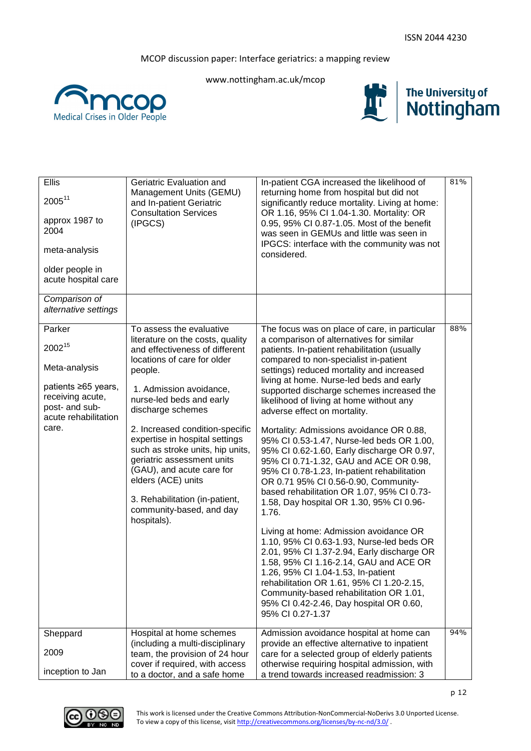







| Ellis                                                                             | Geriatric Evaluation and                                                                                                                                                               | In-patient CGA increased the likelihood of                                                                                                                                                                                                                                                                                                                               | 81% |
|-----------------------------------------------------------------------------------|----------------------------------------------------------------------------------------------------------------------------------------------------------------------------------------|--------------------------------------------------------------------------------------------------------------------------------------------------------------------------------------------------------------------------------------------------------------------------------------------------------------------------------------------------------------------------|-----|
| $2005^{11}$                                                                       | Management Units (GEMU)<br>and In-patient Geriatric<br><b>Consultation Services</b>                                                                                                    | returning home from hospital but did not<br>significantly reduce mortality. Living at home:<br>OR 1.16, 95% CI 1.04-1.30. Mortality: OR                                                                                                                                                                                                                                  |     |
| approx 1987 to<br>2004                                                            | (IPGCS)                                                                                                                                                                                | 0.95, 95% CI 0.87-1.05. Most of the benefit<br>was seen in GEMUs and little was seen in                                                                                                                                                                                                                                                                                  |     |
| meta-analysis                                                                     |                                                                                                                                                                                        | IPGCS: interface with the community was not<br>considered.                                                                                                                                                                                                                                                                                                               |     |
| older people in<br>acute hospital care                                            |                                                                                                                                                                                        |                                                                                                                                                                                                                                                                                                                                                                          |     |
| Comparison of<br>alternative settings                                             |                                                                                                                                                                                        |                                                                                                                                                                                                                                                                                                                                                                          |     |
| Parker                                                                            | To assess the evaluative                                                                                                                                                               | The focus was on place of care, in particular                                                                                                                                                                                                                                                                                                                            | 88% |
| 200215                                                                            | literature on the costs, quality<br>and effectiveness of different<br>locations of care for older                                                                                      | a comparison of alternatives for similar<br>patients. In-patient rehabilitation (usually<br>compared to non-specialist in-patient                                                                                                                                                                                                                                        |     |
| Meta-analysis                                                                     | people.                                                                                                                                                                                | settings) reduced mortality and increased<br>living at home. Nurse-led beds and early                                                                                                                                                                                                                                                                                    |     |
| patients ≥65 years,<br>receiving acute,<br>post- and sub-<br>acute rehabilitation | 1. Admission avoidance,<br>nurse-led beds and early<br>discharge schemes                                                                                                               | supported discharge schemes increased the<br>likelihood of living at home without any<br>adverse effect on mortality.                                                                                                                                                                                                                                                    |     |
| care.                                                                             | 2. Increased condition-specific<br>expertise in hospital settings<br>such as stroke units, hip units,<br>geriatric assessment units<br>(GAU), and acute care for<br>elders (ACE) units | Mortality: Admissions avoidance OR 0.88,<br>95% CI 0.53-1.47, Nurse-led beds OR 1.00,<br>95% CI 0.62-1.60, Early discharge OR 0.97,<br>95% CI 0.71-1.32, GAU and ACE OR 0.98,<br>95% CI 0.78-1.23, In-patient rehabilitation<br>OR 0.71 95% CI 0.56-0.90, Community-<br>based rehabilitation OR 1.07, 95% CI 0.73-                                                       |     |
|                                                                                   | 3. Rehabilitation (in-patient,<br>community-based, and day<br>hospitals).                                                                                                              | 1.58, Day hospital OR 1.30, 95% CI 0.96-<br>1.76.                                                                                                                                                                                                                                                                                                                        |     |
|                                                                                   |                                                                                                                                                                                        | Living at home: Admission avoidance OR<br>1.10, 95% CI 0.63-1.93, Nurse-led beds OR<br>2.01, 95% CI 1.37-2.94, Early discharge OR<br>1.58, 95% CI 1.16-2.14, GAU and ACE OR<br>1.26, 95% CI 1.04-1.53, In-patient<br>rehabilitation OR 1.61, 95% Cl 1.20-2.15,<br>Community-based rehabilitation OR 1.01,<br>95% CI 0.42-2.46, Day hospital OR 0.60,<br>95% CI 0.27-1.37 |     |
| Sheppard                                                                          | Hospital at home schemes                                                                                                                                                               | Admission avoidance hospital at home can                                                                                                                                                                                                                                                                                                                                 | 94% |
| 2009                                                                              | (including a multi-disciplinary<br>team, the provision of 24 hour                                                                                                                      | provide an effective alternative to inpatient<br>care for a selected group of elderly patients                                                                                                                                                                                                                                                                           |     |
| inception to Jan                                                                  | cover if required, with access<br>to a doctor, and a safe home                                                                                                                         | otherwise requiring hospital admission, with<br>a trend towards increased readmission: 3                                                                                                                                                                                                                                                                                 |     |

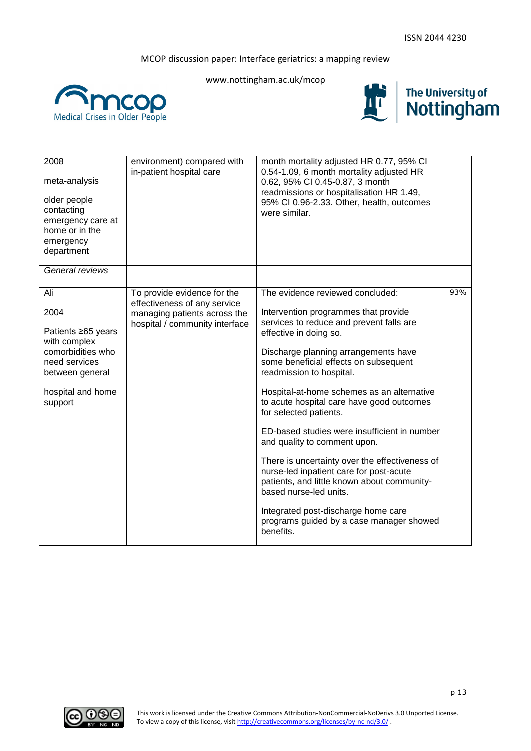

www.nottingham.ac.uk/mcop





| 2008<br>meta-analysis<br>older people<br>contacting<br>emergency care at<br>home or in the<br>emergency<br>department                      | environment) compared with<br>in-patient hospital care                                                                        | month mortality adjusted HR 0.77, 95% CI<br>0.54-1.09, 6 month mortality adjusted HR<br>0.62, 95% CI 0.45-0.87, 3 month<br>readmissions or hospitalisation HR 1.49,<br>95% CI 0.96-2.33. Other, health, outcomes<br>were similar.                                                                                                                                                                                                                                                                                                                                                                                                                                                                                                      |     |
|--------------------------------------------------------------------------------------------------------------------------------------------|-------------------------------------------------------------------------------------------------------------------------------|----------------------------------------------------------------------------------------------------------------------------------------------------------------------------------------------------------------------------------------------------------------------------------------------------------------------------------------------------------------------------------------------------------------------------------------------------------------------------------------------------------------------------------------------------------------------------------------------------------------------------------------------------------------------------------------------------------------------------------------|-----|
| General reviews                                                                                                                            |                                                                                                                               |                                                                                                                                                                                                                                                                                                                                                                                                                                                                                                                                                                                                                                                                                                                                        |     |
| Ali<br>2004<br>Patients ≥65 years<br>with complex<br>comorbidities who<br>need services<br>between general<br>hospital and home<br>support | To provide evidence for the<br>effectiveness of any service<br>managing patients across the<br>hospital / community interface | The evidence reviewed concluded:<br>Intervention programmes that provide<br>services to reduce and prevent falls are<br>effective in doing so.<br>Discharge planning arrangements have<br>some beneficial effects on subsequent<br>readmission to hospital.<br>Hospital-at-home schemes as an alternative<br>to acute hospital care have good outcomes<br>for selected patients.<br>ED-based studies were insufficient in number<br>and quality to comment upon.<br>There is uncertainty over the effectiveness of<br>nurse-led inpatient care for post-acute<br>patients, and little known about community-<br>based nurse-led units.<br>Integrated post-discharge home care<br>programs guided by a case manager showed<br>benefits. | 93% |

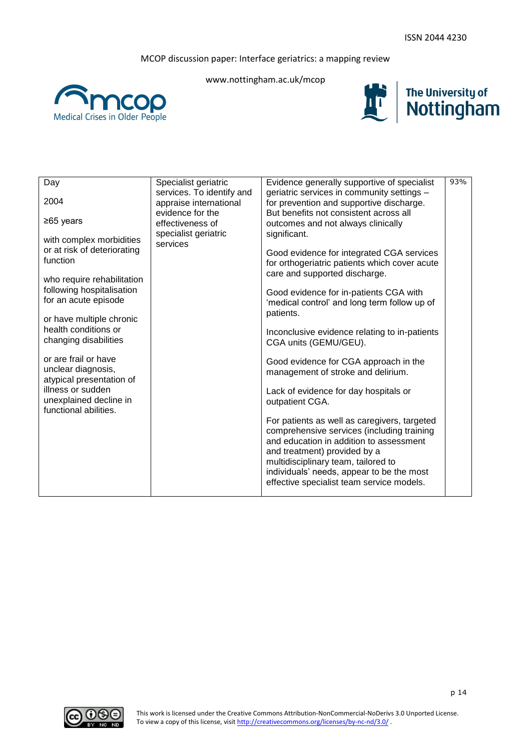www.nottingham.ac.uk/mcop







| Day                                                                    | Specialist geriatric<br>services. To identify and | Evidence generally supportive of specialist<br>geriatric services in community settings -                                                                                                                                                                                                              | 93% |
|------------------------------------------------------------------------|---------------------------------------------------|--------------------------------------------------------------------------------------------------------------------------------------------------------------------------------------------------------------------------------------------------------------------------------------------------------|-----|
| 2004                                                                   | appraise international<br>evidence for the        | for prevention and supportive discharge.<br>But benefits not consistent across all                                                                                                                                                                                                                     |     |
| $≥65$ years                                                            | effectiveness of                                  | outcomes and not always clinically                                                                                                                                                                                                                                                                     |     |
| with complex morbidities<br>or at risk of deteriorating<br>function    | specialist geriatric<br>services                  | significant.<br>Good evidence for integrated CGA services<br>for orthogeriatric patients which cover acute<br>care and supported discharge.                                                                                                                                                            |     |
| who require rehabilitation                                             |                                                   |                                                                                                                                                                                                                                                                                                        |     |
| following hospitalisation<br>for an acute episode                      |                                                   | Good evidence for in-patients CGA with<br>'medical control' and long term follow up of                                                                                                                                                                                                                 |     |
| or have multiple chronic                                               |                                                   | patients.                                                                                                                                                                                                                                                                                              |     |
| health conditions or<br>changing disabilities                          |                                                   | Inconclusive evidence relating to in-patients<br>CGA units (GEMU/GEU).                                                                                                                                                                                                                                 |     |
| or are frail or have<br>unclear diagnosis,<br>atypical presentation of |                                                   | Good evidence for CGA approach in the<br>management of stroke and delirium.                                                                                                                                                                                                                            |     |
| illness or sudden<br>unexplained decline in<br>functional abilities.   |                                                   | Lack of evidence for day hospitals or<br>outpatient CGA.                                                                                                                                                                                                                                               |     |
|                                                                        |                                                   | For patients as well as caregivers, targeted<br>comprehensive services (including training<br>and education in addition to assessment<br>and treatment) provided by a<br>multidisciplinary team, tailored to<br>individuals' needs, appear to be the most<br>effective specialist team service models. |     |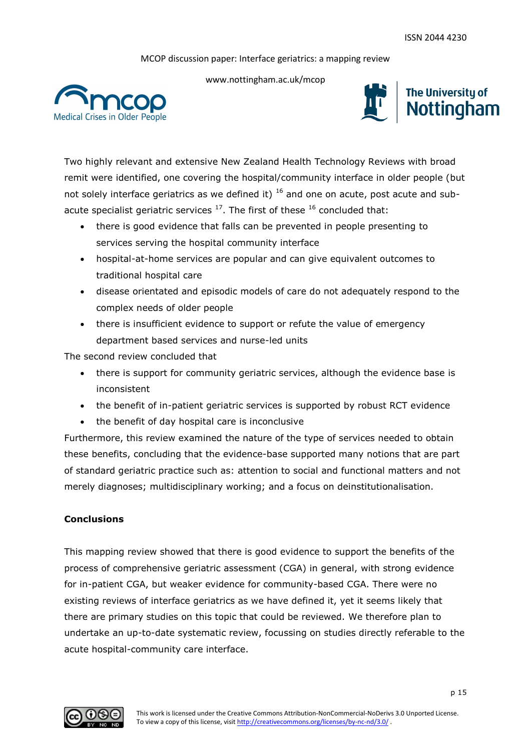

www.nottingham.ac.uk/mcop





Two highly relevant and extensive New Zealand Health Technology Reviews with broad remit were identified, one covering the hospital/community interface in older people (but not solely interface geriatrics as we defined it)  $16$  and one on acute, post acute and subacute specialist geriatric services  $^{17}$ . The first of these  $^{16}$  concluded that:

- there is good evidence that falls can be prevented in people presenting to services serving the hospital community interface
- hospital-at-home services are popular and can give equivalent outcomes to traditional hospital care
- disease orientated and episodic models of care do not adequately respond to the complex needs of older people
- there is insufficient evidence to support or refute the value of emergency department based services and nurse-led units

The second review concluded that

- there is support for community geriatric services, although the evidence base is inconsistent
- the benefit of in-patient geriatric services is supported by robust RCT evidence
- the benefit of day hospital care is inconclusive

Furthermore, this review examined the nature of the type of services needed to obtain these benefits, concluding that the evidence-base supported many notions that are part of standard geriatric practice such as: attention to social and functional matters and not merely diagnoses; multidisciplinary working; and a focus on deinstitutionalisation.

## **Conclusions**

This mapping review showed that there is good evidence to support the benefits of the process of comprehensive geriatric assessment (CGA) in general, with strong evidence for in-patient CGA, but weaker evidence for community-based CGA. There were no existing reviews of interface geriatrics as we have defined it, yet it seems likely that there are primary studies on this topic that could be reviewed. We therefore plan to undertake an up-to-date systematic review, focussing on studies directly referable to the acute hospital-community care interface.

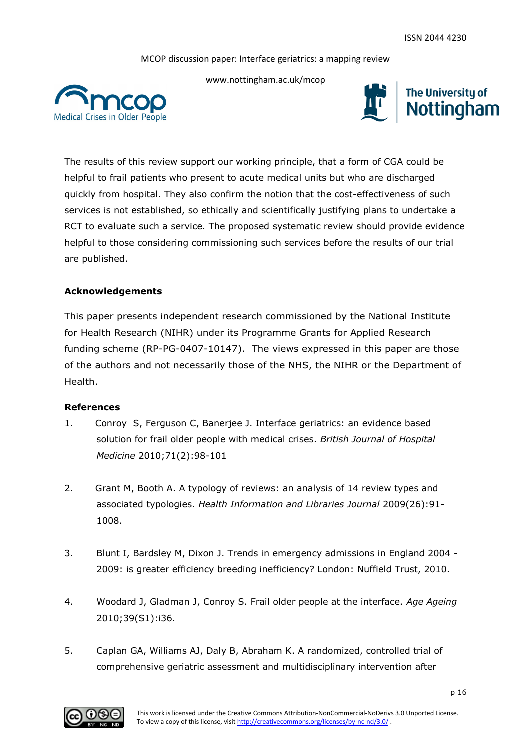

www.nottingham.ac.uk/mcop





The results of this review support our working principle, that a form of CGA could be helpful to frail patients who present to acute medical units but who are discharged quickly from hospital. They also confirm the notion that the cost-effectiveness of such services is not established, so ethically and scientifically justifying plans to undertake a RCT to evaluate such a service. The proposed systematic review should provide evidence helpful to those considering commissioning such services before the results of our trial are published.

## **Acknowledgements**

This paper presents independent research commissioned by the National Institute for Health Research (NIHR) under its Programme Grants for Applied Research funding scheme (RP-PG-0407-10147). The views expressed in this paper are those of the authors and not necessarily those of the NHS, the NIHR or the Department of Health.

### **References**

- 1. Conroy S, Ferguson C, Banerjee J. Interface geriatrics: an evidence based solution for frail older people with medical crises. *British Journal of Hospital Medicine* 2010;71(2):98-101
- 2. Grant M, Booth A. A typology of reviews: an analysis of 14 review types and associated typologies. *Health Information and Libraries Journal* 2009(26):91- 1008.
- 3. Blunt I, Bardsley M, Dixon J. Trends in emergency admissions in England 2004 2009: is greater efficiency breeding inefficiency? London: Nuffield Trust, 2010.
- 4. Woodard J, Gladman J, Conroy S. Frail older people at the interface. *Age Ageing* 2010;39(S1):i36.
- 5. Caplan GA, Williams AJ, Daly B, Abraham K. A randomized, controlled trial of comprehensive geriatric assessment and multidisciplinary intervention after

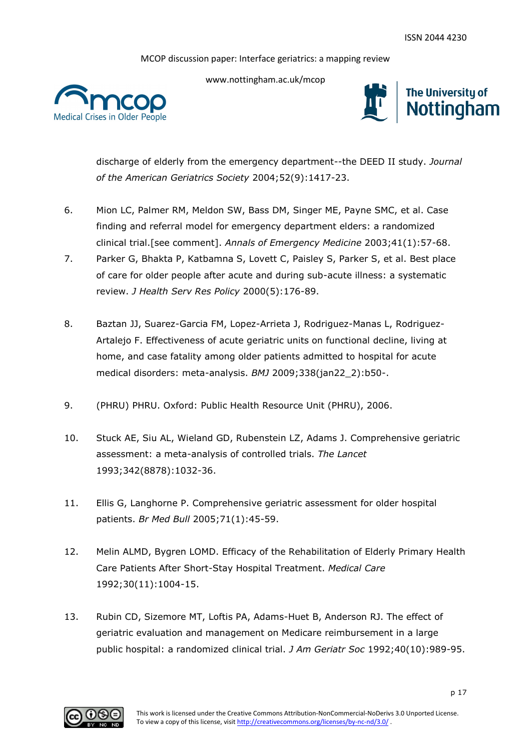

www.nottingham.ac.uk/mcop



discharge of elderly from the emergency department--the DEED II study. *Journal of the American Geriatrics Society* 2004;52(9):1417-23.

- 6. Mion LC, Palmer RM, Meldon SW, Bass DM, Singer ME, Payne SMC, et al. Case finding and referral model for emergency department elders: a randomized clinical trial.[see comment]. *Annals of Emergency Medicine* 2003;41(1):57-68.
- 7. Parker G, Bhakta P, Katbamna S, Lovett C, Paisley S, Parker S, et al. Best place of care for older people after acute and during sub-acute illness: a systematic review. *J Health Serv Res Policy* 2000(5):176-89.
- 8. Baztan JJ, Suarez-Garcia FM, Lopez-Arrieta J, Rodriguez-Manas L, Rodriguez-Artalejo F. Effectiveness of acute geriatric units on functional decline, living at home, and case fatality among older patients admitted to hospital for acute medical disorders: meta-analysis. *BMJ* 2009;338(jan22\_2):b50-.
- 9. (PHRU) PHRU. Oxford: Public Health Resource Unit (PHRU), 2006.
- 10. Stuck AE, Siu AL, Wieland GD, Rubenstein LZ, Adams J. Comprehensive geriatric assessment: a meta-analysis of controlled trials. *The Lancet* 1993;342(8878):1032-36.
- 11. Ellis G, Langhorne P. Comprehensive geriatric assessment for older hospital patients. *Br Med Bull* 2005;71(1):45-59.
- 12. Melin ALMD, Bygren LOMD. Efficacy of the Rehabilitation of Elderly Primary Health Care Patients After Short-Stay Hospital Treatment. *Medical Care* 1992;30(11):1004-15.
- 13. Rubin CD, Sizemore MT, Loftis PA, Adams-Huet B, Anderson RJ. The effect of geriatric evaluation and management on Medicare reimbursement in a large public hospital: a randomized clinical trial. *J Am Geriatr Soc* 1992;40(10):989-95.